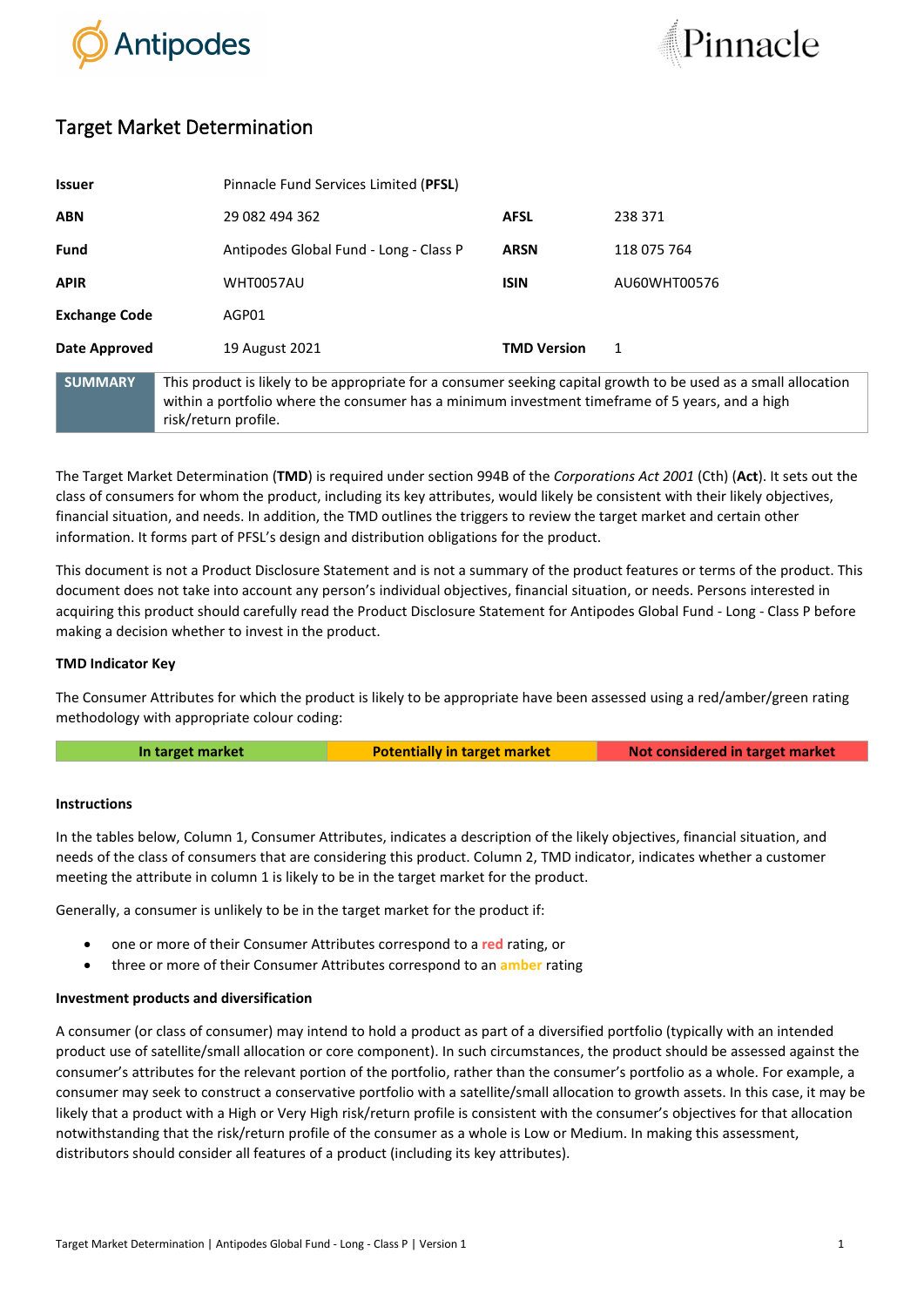



# Target Market Determination

| <b>Issuer</b>        | Pinnacle Fund Services Limited (PFSL)                                                                                                                                                                                                      |                    |              |
|----------------------|--------------------------------------------------------------------------------------------------------------------------------------------------------------------------------------------------------------------------------------------|--------------------|--------------|
| <b>ABN</b>           | 29 082 494 362                                                                                                                                                                                                                             | <b>AFSL</b>        | 238 371      |
| <b>Fund</b>          | Antipodes Global Fund - Long - Class P                                                                                                                                                                                                     | <b>ARSN</b>        | 118 075 764  |
| <b>APIR</b>          | <b>WHT0057AU</b>                                                                                                                                                                                                                           | <b>ISIN</b>        | AU60WHT00576 |
| <b>Exchange Code</b> | AGP01                                                                                                                                                                                                                                      |                    |              |
| Date Approved        | 19 August 2021                                                                                                                                                                                                                             | <b>TMD Version</b> | 1            |
| <b>SUMMARY</b>       | This product is likely to be appropriate for a consumer seeking capital growth to be used as a small allocation<br>within a portfolio where the consumer has a minimum investment timeframe of 5 years, and a high<br>risk/return profile. |                    |              |

The Target Market Determination (**TMD**) is required under section 994B of the *Corporations Act 2001* (Cth) (**Act**). It sets out the class of consumers for whom the product, including its key attributes, would likely be consistent with their likely objectives, financial situation, and needs. In addition, the TMD outlines the triggers to review the target market and certain other information. It forms part of PFSL's design and distribution obligations for the product.

This document is not a Product Disclosure Statement and is not a summary of the product features or terms of the product. This document does not take into account any person's individual objectives, financial situation, or needs. Persons interested in acquiring this product should carefully read the Product Disclosure Statement for Antipodes Global Fund - Long - Class P before making a decision whether to invest in the product.

## **TMD Indicator Key**

The Consumer Attributes for which the product is likely to be appropriate have been assessed using a red/amber/green rating methodology with appropriate colour coding:

**In target market <b>Potentially in target market Not considered in target market** 

## **Instructions**

In the tables below, Column 1, Consumer Attributes, indicates a description of the likely objectives, financial situation, and needs of the class of consumers that are considering this product. Column 2, TMD indicator, indicates whether a customer meeting the attribute in column 1 is likely to be in the target market for the product.

Generally, a consumer is unlikely to be in the target market for the product if:

- one or more of their Consumer Attributes correspond to a **red** rating, or
- three or more of their Consumer Attributes correspond to an **amber** rating

## **Investment products and diversification**

A consumer (or class of consumer) may intend to hold a product as part of a diversified portfolio (typically with an intended product use of satellite/small allocation or core component). In such circumstances, the product should be assessed against the consumer's attributes for the relevant portion of the portfolio, rather than the consumer's portfolio as a whole. For example, a consumer may seek to construct a conservative portfolio with a satellite/small allocation to growth assets. In this case, it may be likely that a product with a High or Very High risk/return profile is consistent with the consumer's objectives for that allocation notwithstanding that the risk/return profile of the consumer as a whole is Low or Medium. In making this assessment, distributors should consider all features of a product (including its key attributes).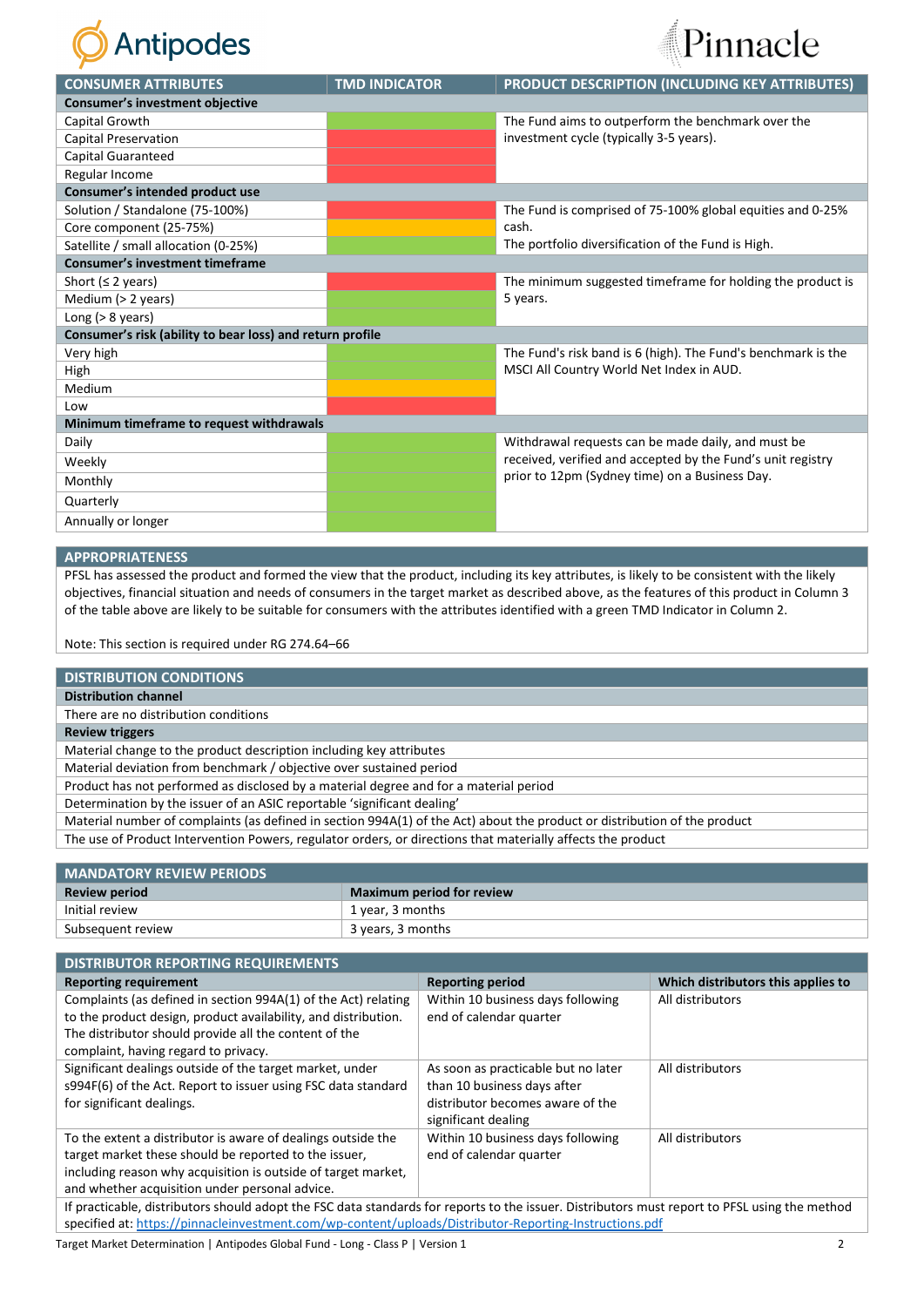



| <b>CONSUMER ATTRIBUTES</b>                                | <b>TMD INDICATOR</b> | PRODUCT DESCRIPTION (INCLUDING KEY ATTRIBUTES)                      |  |  |  |
|-----------------------------------------------------------|----------------------|---------------------------------------------------------------------|--|--|--|
| Consumer's investment objective                           |                      |                                                                     |  |  |  |
| Capital Growth                                            |                      | The Fund aims to outperform the benchmark over the                  |  |  |  |
| Capital Preservation                                      |                      | investment cycle (typically 3-5 years).                             |  |  |  |
| <b>Capital Guaranteed</b>                                 |                      |                                                                     |  |  |  |
| Regular Income                                            |                      |                                                                     |  |  |  |
| Consumer's intended product use                           |                      |                                                                     |  |  |  |
| Solution / Standalone (75-100%)                           |                      | The Fund is comprised of 75-100% global equities and 0-25%<br>cash. |  |  |  |
| Core component (25-75%)                                   |                      |                                                                     |  |  |  |
| Satellite / small allocation (0-25%)                      |                      | The portfolio diversification of the Fund is High.                  |  |  |  |
| <b>Consumer's investment timeframe</b>                    |                      |                                                                     |  |  |  |
| Short ( $\leq$ 2 years)                                   |                      | The minimum suggested timeframe for holding the product is          |  |  |  |
| Medium (> 2 years)                                        |                      | 5 years.                                                            |  |  |  |
| Long $(> 8$ years)                                        |                      |                                                                     |  |  |  |
| Consumer's risk (ability to bear loss) and return profile |                      |                                                                     |  |  |  |
| Very high                                                 |                      | The Fund's risk band is 6 (high). The Fund's benchmark is the       |  |  |  |
| High                                                      |                      | MSCI All Country World Net Index in AUD.                            |  |  |  |
| Medium                                                    |                      |                                                                     |  |  |  |
| Low                                                       |                      |                                                                     |  |  |  |
| Minimum timeframe to request withdrawals                  |                      |                                                                     |  |  |  |
| Daily                                                     |                      | Withdrawal requests can be made daily, and must be                  |  |  |  |
| Weekly                                                    |                      | received, verified and accepted by the Fund's unit registry         |  |  |  |
| Monthly                                                   |                      | prior to 12pm (Sydney time) on a Business Day.                      |  |  |  |
| Quarterly                                                 |                      |                                                                     |  |  |  |
| Annually or longer                                        |                      |                                                                     |  |  |  |

### **APPROPRIATENESS**

PFSL has assessed the product and formed the view that the product, including its key attributes, is likely to be consistent with the likely objectives, financial situation and needs of consumers in the target market as described above, as the features of this product in Column 3 of the table above are likely to be suitable for consumers with the attributes identified with a green TMD Indicator in Column 2.

Note: This section is required under RG 274.64–66

## **DISTRIBUTION CONDITIONS**

**Distribution channel**

There are no distribution conditions

**Review triggers**

Material change to the product description including key attributes

Material deviation from benchmark / objective over sustained period

Product has not performed as disclosed by a material degree and for a material period

Determination by the issuer of an ASIC reportable 'significant dealing'

Material number of complaints (as defined in section 994A(1) of the Act) about the product or distribution of the product

The use of Product Intervention Powers, regulator orders, or directions that materially affects the product

| <b>MANDATORY REVIEW PERIODS</b> |                                  |  |
|---------------------------------|----------------------------------|--|
| <b>Review period</b>            | <b>Maximum period for review</b> |  |
| Initial review                  | 1 year, 3 months                 |  |
| Subsequent review               | 3 years, 3 months                |  |

| <b>DISTRIBUTOR REPORTING REQUIREMENTS</b>                                                                                                     |                                     |                                    |  |  |
|-----------------------------------------------------------------------------------------------------------------------------------------------|-------------------------------------|------------------------------------|--|--|
| <b>Reporting requirement</b>                                                                                                                  | <b>Reporting period</b>             | Which distributors this applies to |  |  |
| Complaints (as defined in section 994A(1) of the Act) relating                                                                                | Within 10 business days following   | All distributors                   |  |  |
| to the product design, product availability, and distribution.                                                                                | end of calendar quarter             |                                    |  |  |
| The distributor should provide all the content of the                                                                                         |                                     |                                    |  |  |
| complaint, having regard to privacy.                                                                                                          |                                     |                                    |  |  |
| Significant dealings outside of the target market, under                                                                                      | As soon as practicable but no later | All distributors                   |  |  |
| s994F(6) of the Act. Report to issuer using FSC data standard                                                                                 | than 10 business days after         |                                    |  |  |
| for significant dealings.                                                                                                                     | distributor becomes aware of the    |                                    |  |  |
|                                                                                                                                               | significant dealing                 |                                    |  |  |
| To the extent a distributor is aware of dealings outside the                                                                                  | Within 10 business days following   | All distributors                   |  |  |
| target market these should be reported to the issuer,                                                                                         | end of calendar quarter             |                                    |  |  |
| including reason why acquisition is outside of target market.                                                                                 |                                     |                                    |  |  |
| and whether acquisition under personal advice.                                                                                                |                                     |                                    |  |  |
| If practicable, distributors should adopt the FSC data standards for reports to the issuer. Distributors must report to PFSL using the method |                                     |                                    |  |  |
| specified at: https://pinnacleinvestment.com/wp-content/uploads/Distributor-Reporting-Instructions.pdf                                        |                                     |                                    |  |  |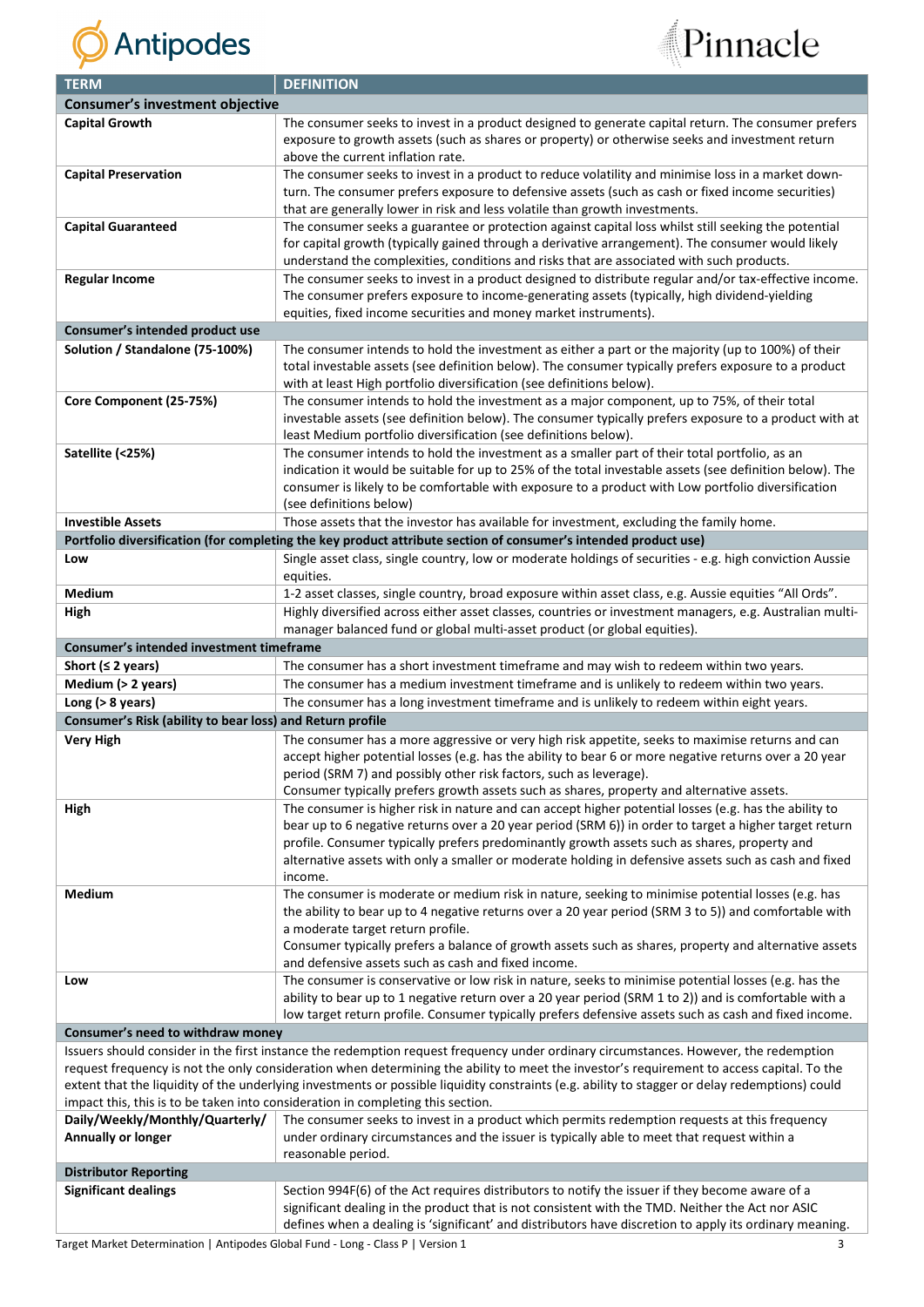



| <b>TERM</b>                                               | <b>DEFINITION</b>                                                                                                                                                                                          |  |  |
|-----------------------------------------------------------|------------------------------------------------------------------------------------------------------------------------------------------------------------------------------------------------------------|--|--|
| <b>Consumer's investment objective</b>                    |                                                                                                                                                                                                            |  |  |
| <b>Capital Growth</b>                                     | The consumer seeks to invest in a product designed to generate capital return. The consumer prefers                                                                                                        |  |  |
|                                                           | exposure to growth assets (such as shares or property) or otherwise seeks and investment return                                                                                                            |  |  |
|                                                           | above the current inflation rate.                                                                                                                                                                          |  |  |
| <b>Capital Preservation</b>                               | The consumer seeks to invest in a product to reduce volatility and minimise loss in a market down-                                                                                                         |  |  |
|                                                           | turn. The consumer prefers exposure to defensive assets (such as cash or fixed income securities)                                                                                                          |  |  |
|                                                           | that are generally lower in risk and less volatile than growth investments.                                                                                                                                |  |  |
| <b>Capital Guaranteed</b>                                 | The consumer seeks a guarantee or protection against capital loss whilst still seeking the potential                                                                                                       |  |  |
|                                                           | for capital growth (typically gained through a derivative arrangement). The consumer would likely                                                                                                          |  |  |
|                                                           | understand the complexities, conditions and risks that are associated with such products.                                                                                                                  |  |  |
| <b>Regular Income</b>                                     | The consumer seeks to invest in a product designed to distribute regular and/or tax-effective income.                                                                                                      |  |  |
|                                                           | The consumer prefers exposure to income-generating assets (typically, high dividend-yielding                                                                                                               |  |  |
|                                                           | equities, fixed income securities and money market instruments).                                                                                                                                           |  |  |
| Consumer's intended product use                           |                                                                                                                                                                                                            |  |  |
| Solution / Standalone (75-100%)                           | The consumer intends to hold the investment as either a part or the majority (up to 100%) of their                                                                                                         |  |  |
|                                                           | total investable assets (see definition below). The consumer typically prefers exposure to a product                                                                                                       |  |  |
|                                                           | with at least High portfolio diversification (see definitions below).                                                                                                                                      |  |  |
| Core Component (25-75%)                                   | The consumer intends to hold the investment as a major component, up to 75%, of their total                                                                                                                |  |  |
|                                                           | investable assets (see definition below). The consumer typically prefers exposure to a product with at<br>least Medium portfolio diversification (see definitions below).                                  |  |  |
| Satellite (<25%)                                          | The consumer intends to hold the investment as a smaller part of their total portfolio, as an                                                                                                              |  |  |
|                                                           | indication it would be suitable for up to 25% of the total investable assets (see definition below). The                                                                                                   |  |  |
|                                                           | consumer is likely to be comfortable with exposure to a product with Low portfolio diversification                                                                                                         |  |  |
|                                                           | (see definitions below)                                                                                                                                                                                    |  |  |
| <b>Investible Assets</b>                                  | Those assets that the investor has available for investment, excluding the family home.                                                                                                                    |  |  |
|                                                           | Portfolio diversification (for completing the key product attribute section of consumer's intended product use)                                                                                            |  |  |
|                                                           |                                                                                                                                                                                                            |  |  |
| Low                                                       | Single asset class, single country, low or moderate holdings of securities - e.g. high conviction Aussie<br>equities.                                                                                      |  |  |
| Medium                                                    | 1-2 asset classes, single country, broad exposure within asset class, e.g. Aussie equities "All Ords".                                                                                                     |  |  |
|                                                           | Highly diversified across either asset classes, countries or investment managers, e.g. Australian multi-                                                                                                   |  |  |
| High                                                      | manager balanced fund or global multi-asset product (or global equities).                                                                                                                                  |  |  |
| Consumer's intended investment timeframe                  |                                                                                                                                                                                                            |  |  |
|                                                           |                                                                                                                                                                                                            |  |  |
| Short ( $\leq$ 2 years)                                   | The consumer has a short investment timeframe and may wish to redeem within two years.<br>The consumer has a medium investment timeframe and is unlikely to redeem within two years.                       |  |  |
| Medium (> 2 years)<br>Long $(> 8$ years)                  | The consumer has a long investment timeframe and is unlikely to redeem within eight years.                                                                                                                 |  |  |
|                                                           |                                                                                                                                                                                                            |  |  |
| Consumer's Risk (ability to bear loss) and Return profile |                                                                                                                                                                                                            |  |  |
| <b>Very High</b>                                          | The consumer has a more aggressive or very high risk appetite, seeks to maximise returns and can<br>accept higher potential losses (e.g. has the ability to bear 6 or more negative returns over a 20 year |  |  |
|                                                           | period (SRM 7) and possibly other risk factors, such as leverage).                                                                                                                                         |  |  |
|                                                           | Consumer typically prefers growth assets such as shares, property and alternative assets.                                                                                                                  |  |  |
| High                                                      | The consumer is higher risk in nature and can accept higher potential losses (e.g. has the ability to                                                                                                      |  |  |
|                                                           | bear up to 6 negative returns over a 20 year period (SRM 6)) in order to target a higher target return                                                                                                     |  |  |
|                                                           | profile. Consumer typically prefers predominantly growth assets such as shares, property and                                                                                                               |  |  |
|                                                           | alternative assets with only a smaller or moderate holding in defensive assets such as cash and fixed                                                                                                      |  |  |
|                                                           | income.                                                                                                                                                                                                    |  |  |
| Medium                                                    | The consumer is moderate or medium risk in nature, seeking to minimise potential losses (e.g. has                                                                                                          |  |  |
|                                                           | the ability to bear up to 4 negative returns over a 20 year period (SRM 3 to 5)) and comfortable with                                                                                                      |  |  |
|                                                           | a moderate target return profile.                                                                                                                                                                          |  |  |
|                                                           | Consumer typically prefers a balance of growth assets such as shares, property and alternative assets                                                                                                      |  |  |
|                                                           | and defensive assets such as cash and fixed income.                                                                                                                                                        |  |  |
| Low                                                       | The consumer is conservative or low risk in nature, seeks to minimise potential losses (e.g. has the                                                                                                       |  |  |
|                                                           | ability to bear up to 1 negative return over a 20 year period (SRM 1 to 2)) and is comfortable with a                                                                                                      |  |  |
|                                                           | low target return profile. Consumer typically prefers defensive assets such as cash and fixed income.                                                                                                      |  |  |
| Consumer's need to withdraw money                         |                                                                                                                                                                                                            |  |  |
|                                                           | Issuers should consider in the first instance the redemption request frequency under ordinary circumstances. However, the redemption                                                                       |  |  |
|                                                           | request frequency is not the only consideration when determining the ability to meet the investor's requirement to access capital. To the                                                                  |  |  |
|                                                           | extent that the liquidity of the underlying investments or possible liquidity constraints (e.g. ability to stagger or delay redemptions) could                                                             |  |  |
|                                                           | impact this, this is to be taken into consideration in completing this section.                                                                                                                            |  |  |
| Daily/Weekly/Monthly/Quarterly/                           | The consumer seeks to invest in a product which permits redemption requests at this frequency                                                                                                              |  |  |
| Annually or longer                                        | under ordinary circumstances and the issuer is typically able to meet that request within a                                                                                                                |  |  |
|                                                           | reasonable period.                                                                                                                                                                                         |  |  |
| <b>Distributor Reporting</b>                              |                                                                                                                                                                                                            |  |  |
| <b>Significant dealings</b>                               | Section 994F(6) of the Act requires distributors to notify the issuer if they become aware of a                                                                                                            |  |  |
|                                                           | significant dealing in the product that is not consistent with the TMD. Neither the Act nor ASIC                                                                                                           |  |  |
|                                                           | defines when a dealing is 'significant' and distributors have discretion to apply its ordinary meaning.                                                                                                    |  |  |